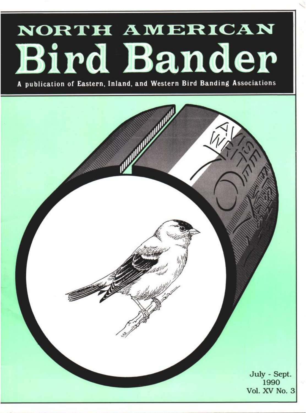# NORTH AMERICAN **Bird Bander**

**A publication of Eastern, Inland, and Western Bird Banding Associations**